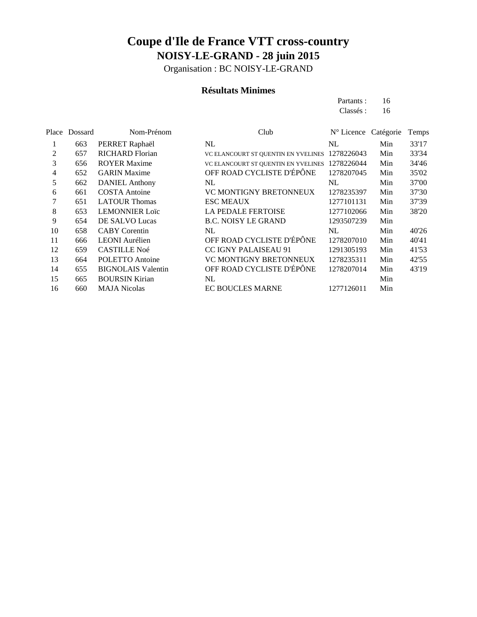Organisation : BC NOISY-LE-GRAND

### **Résultats Minimes**

| Partants: | 16 |
|-----------|----|
| Classés : | 16 |

|    | Place Dossard | Nom-Prénom                | Club                                | $N^{\circ}$ Licence Catégorie |     | Temps |
|----|---------------|---------------------------|-------------------------------------|-------------------------------|-----|-------|
|    | 663           | PERRET Raphaël            | NL                                  | NL                            | Min | 33'17 |
| 2  | 657           | <b>RICHARD Florian</b>    | VC ELANCOURT ST QUENTIN EN YVELINES | 1278226043                    | Min | 33'34 |
| 3  | 656           | <b>ROYER Maxime</b>       | VC ELANCOURT ST QUENTIN EN YVELINES | 1278226044                    | Min | 34'46 |
| 4  | 652           | <b>GARIN Maxime</b>       | OFF ROAD CYCLISTE D'ÉPÔNE           | 1278207045                    | Min | 35'02 |
| 5  | 662           | <b>DANIEL Anthony</b>     | NL                                  | NL                            | Min | 37'00 |
| 6  | 661           | <b>COSTA</b> Antoine      | VC MONTIGNY BRETONNEUX              | 1278235397                    | Min | 37'30 |
| 7  | 651           | <b>LATOUR Thomas</b>      | <b>ESC MEAUX</b>                    | 1277101131                    | Min | 37'39 |
| 8  | 653           | <b>LEMONNIER Loïc</b>     | <b>LA PEDALE FERTOISE</b>           | 1277102066                    | Min | 38'20 |
| 9  | 654           | DE SALVO Lucas            | <b>B.C. NOISY LE GRAND</b>          | 1293507239                    | Min |       |
| 10 | 658           | <b>CABY</b> Corentin      | NL                                  | NL                            | Min | 40'26 |
| 11 | 666           | <b>LEONI</b> Aurélien     | OFF ROAD CYCLISTE D'ÉPÔNE           | 1278207010                    | Min | 40'41 |
| 12 | 659           | <b>CASTILLE Noé</b>       | <b>CC IGNY PALAISEAU 91</b>         | 1291305193                    | Min | 41'53 |
| 13 | 664           | POLETTO Antoine           | <b>VC MONTIGNY BRETONNEUX</b>       | 1278235311                    | Min | 42'55 |
| 14 | 655           | <b>BIGNOLAIS</b> Valentin | OFF ROAD CYCLISTE D'ÉPÔNE           | 1278207014                    | Min | 43'19 |
| 15 | 665           | <b>BOURSIN Kirian</b>     | NL                                  |                               | Min |       |
| 16 | 660           | <b>MAJA Nicolas</b>       | <b>EC BOUCLES MARNE</b>             | 1277126011                    | Min |       |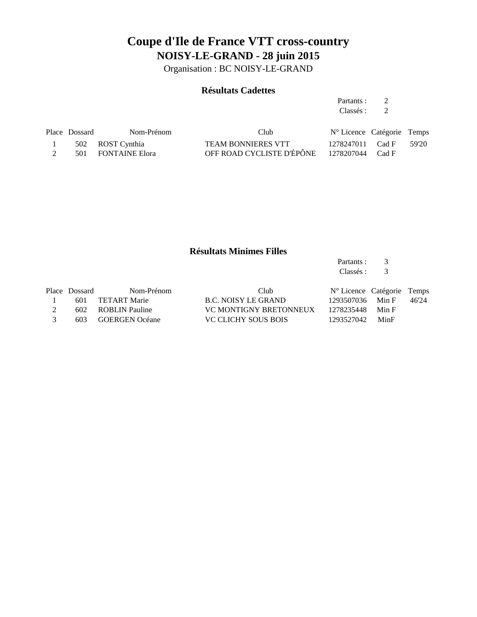Organisation : BC NOISY-LE-GRAND

### **Résultats Cadettes**

Partants : 2 Classés : 2

| Place Dossard | Nom-Prénom         | Club                      | N° Licence Catégorie Temps |       |
|---------------|--------------------|---------------------------|----------------------------|-------|
|               | 502 ROST Cynthia   | <b>TEAM BONNIERES VTT</b> | 1278247011 Cad F           | 59'20 |
|               | 501 FONTAINE Elora | OFF ROAD CYCLISTE D'ÉPÔNE | 1278207044 Cad F           |       |

### **Résultats Minimes Filles**

Partants : 3<br>Classés : 3 Classés :

|               | Place Dossard | Nom-Prénom         | Club                          | $N^{\circ}$ Licence Catégorie Temps |       |       |
|---------------|---------------|--------------------|-------------------------------|-------------------------------------|-------|-------|
|               |               | 601 TETART Marie   | B.C. NOISY LE GRAND           | 1293507036                          | Min F | 46'24 |
|               |               | 602 ROBLIN Pauline | <b>VC MONTIGNY BRETONNEUX</b> | 1278235448                          | Min F |       |
| $\mathcal{R}$ |               | 603 GOERGEN Océane | VC CLICHY SOUS BOIS           | 1293527042 MinF                     |       |       |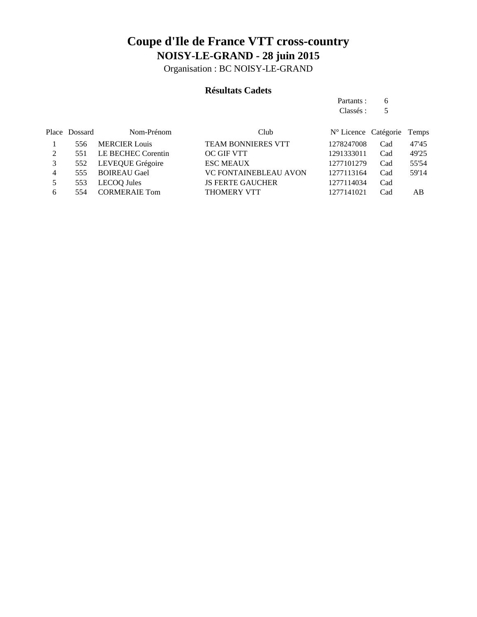Organisation : BC NOISY-LE-GRAND

### **Résultats Cadets**

Partants : 6 Classés : 5

|   | Place Dossard | Nom-Prénom           | Club                         | N° Licence Catégorie Temps |     |       |
|---|---------------|----------------------|------------------------------|----------------------------|-----|-------|
|   | 556           | <b>MERCIER Louis</b> | <b>TEAM BONNIERES VTT</b>    | 1278247008                 | Cad | 47'45 |
| 2 | 551           | LE BECHEC Corentin   | OC GIF VTT                   | 1291333011                 | Cad | 49'25 |
|   | 552           | LEVEQUE Grégoire     | <b>ESC MEAUX</b>             | 1277101279                 | Cad | 55'54 |
| 4 | 555           | <b>BOIREAU Gael</b>  | <b>VC FONTAINEBLEAU AVON</b> | 1277113164                 | Cad | 59'14 |
|   | 553           | LECOQ Jules          | <b>JS FERTE GAUCHER</b>      | 1277114034                 | Cad |       |
| 6 | 554           | <b>CORMERAIE Tom</b> | <b>THOMERY VTT</b>           | 1277141021                 | Cad | AB    |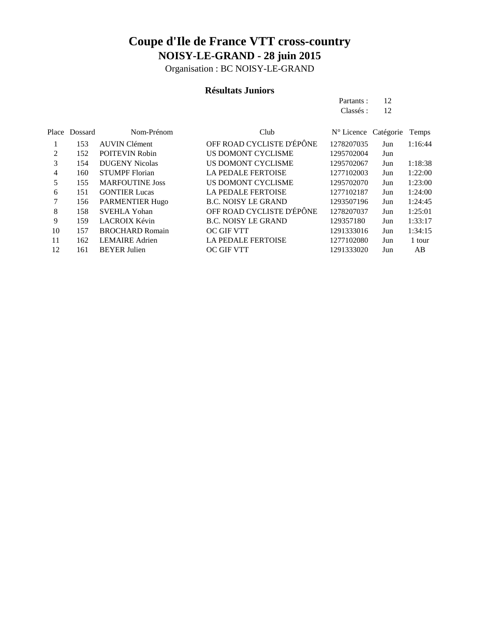Organisation : BC NOISY-LE-GRAND

### **Résultats Juniors**

Partants : 12 Classés : 12

|               | Place Dossard | Nom-Prénom             | Club                       | N° Licence Catégorie |     | Temps   |
|---------------|---------------|------------------------|----------------------------|----------------------|-----|---------|
|               | 153           | <b>AUVIN Clément</b>   | OFF ROAD CYCLISTE D'ÉPÔNE  | 1278207035           | Jun | 1:16:44 |
| $\mathcal{L}$ | 152           | <b>POITEVIN Robin</b>  | US DOMONT CYCLISME         | 1295702004           | Jun |         |
| 3             | 154           | <b>DUGENY Nicolas</b>  | US DOMONT CYCLISME         | 1295702067           | Jun | 1:18:38 |
| 4             | 160           | <b>STUMPF</b> Florian  | <b>LA PEDALE FERTOISE</b>  | 1277102003           | Jun | 1:22:00 |
| 5             | 155           | <b>MARFOUTINE Joss</b> | US DOMONT CYCLISME         | 1295702070           | Jun | 1:23:00 |
| 6             | 151           | <b>GONTIER Lucas</b>   | <b>LA PEDALE FERTOISE</b>  | 1277102187           | Jun | 1:24:00 |
| 7             | 156           | <b>PARMENTIER Hugo</b> | <b>B.C. NOISY LE GRAND</b> | 1293507196           | Jun | 1:24:45 |
| 8             | 158           | <b>SVEHLA Yohan</b>    | OFF ROAD CYCLISTE D'ÉPÔNE  | 1278207037           | Jun | 1:25:01 |
| 9             | 159           | LACROIX Kévin          | <b>B.C. NOISY LE GRAND</b> | 129357180            | Jun | 1:33:17 |
| 10            | 157           | <b>BROCHARD Romain</b> | <b>OC GIF VTT</b>          | 1291333016           | Jun | 1:34:15 |
| 11            | 162           | <b>LEMAIRE</b> Adrien  | <b>LA PEDALE FERTOISE</b>  | 1277102080           | Jun | 1 tour  |
| 12            | 161           | <b>BEYER Julien</b>    | <b>OC GIF VTT</b>          | 1291333020           | Jun | AB      |
|               |               |                        |                            |                      |     |         |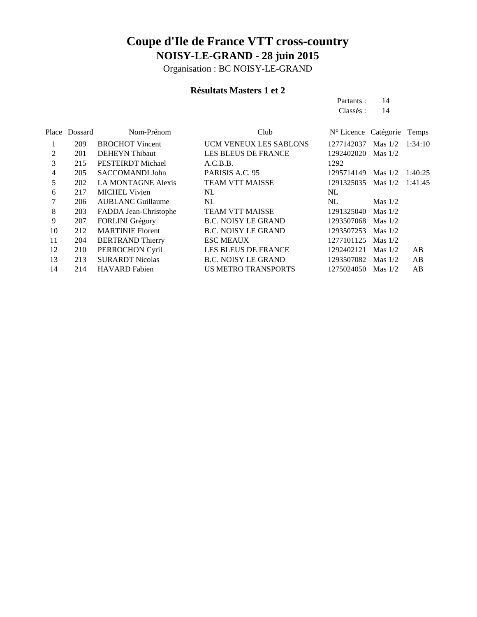Organisation : BC NOISY-LE-GRAND

### **Résultats Masters 1 et 2**

Partants : 14 Classés: 14

|    | Place Dossard | Nom-Prénom                | Club                          | N° Licence Catégorie |           | Temps   |
|----|---------------|---------------------------|-------------------------------|----------------------|-----------|---------|
| 1  | 209           | <b>BROCHOT Vincent</b>    | <b>UCM VENEUX LES SABLONS</b> | 1277142037           | Mas $1/2$ | 1:34:10 |
| 2  | 201           | <b>DEHEYN</b> Thibaut     | <b>LES BLEUS DE FRANCE</b>    | 1292402020           | Mas $1/2$ |         |
| 3  | 215           | PESTEIRDT Michael         | A.C.B.B.                      | 1292                 |           |         |
| 4  | 205           | SACCOMANDI John           | PARISIS A.C. 95               | 1295714149           | Mas $1/2$ | 1:40:25 |
| 5  | 202           | <b>LA MONTAGNE Alexis</b> | <b>TEAM VTT MAISSE</b>        | 1291325035           | Mas $1/2$ | 1:41:45 |
| 6  | 217           | <b>MICHEL Vivien</b>      | NL                            | NL                   |           |         |
| 7  | 206           | <b>AUBLANC Guillaume</b>  | NL                            | NL                   | Mas $1/2$ |         |
| 8  | 203           | FADDA Jean-Christophe     | <b>TEAM VTT MAISSE</b>        | 1291325040           | Mas $1/2$ |         |
| 9  | 207           | FORLINI Grégory           | <b>B.C. NOISY LE GRAND</b>    | 1293507068           | Mas $1/2$ |         |
| 10 | 212           | <b>MARTINIE Florent</b>   | <b>B.C. NOISY LE GRAND</b>    | 1293507253           | Mas $1/2$ |         |
| 11 | 204           | <b>BERTRAND Thierry</b>   | <b>ESC MEAUX</b>              | 1277101125           | Mas $1/2$ |         |
| 12 | 210           | PERROCHON Cyril           | <b>LES BLEUS DE FRANCE</b>    | 1292402121           | Mas $1/2$ | AB      |
| 13 | 213           | <b>SURARDT Nicolas</b>    | <b>B.C. NOISY LE GRAND</b>    | 1293507082           | Mas $1/2$ | AB      |
| 14 | 214           | <b>HAVARD</b> Fabien      | <b>US METRO TRANSPORTS</b>    | 1275024050           | Mas $1/2$ | AB      |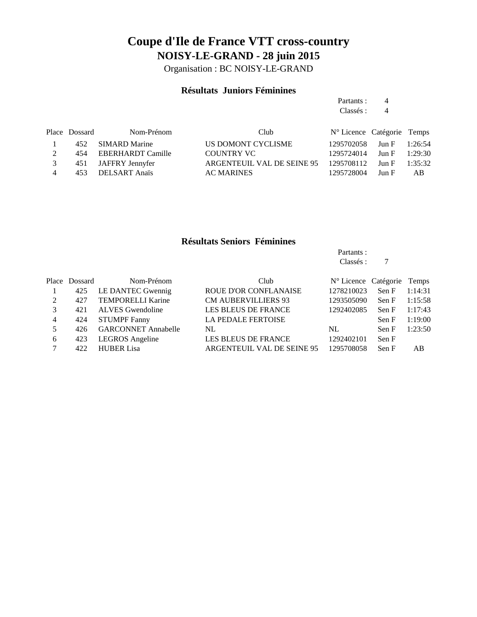Organisation : BC NOISY-LE-GRAND

### **Résultats Juniors Féminines**

|   |               |                          |                            | Partants :                 | 4     |         |
|---|---------------|--------------------------|----------------------------|----------------------------|-------|---------|
|   |               |                          |                            | Classés :                  | 4     |         |
|   | Place Dossard | Nom-Prénom               | Club                       | N° Licence Catégorie Temps |       |         |
|   | 452           | <b>SIMARD Marine</b>     | US DOMONT CYCLISME         | 1295702058                 | Jun F | 1:26:54 |
| 2 | 454           | <b>EBERHARDT Camille</b> | <b>COUNTRY VC</b>          | 1295724014                 | Jun F | 1:29:30 |
|   | 451           | JAFFRY Jennyfer          | ARGENTEUIL VAL DE SEINE 95 | 1295708112                 | Jun F | 1:35:32 |
| 4 | 453           | <b>DELSART</b> Anaïs     | <b>AC MARINES</b>          | 1295728004                 | Jun F | AB.     |

#### **Résultats Seniors Féminines**

Partants : Classés : 7

Place Dossard Nom-Prénom Club N° Licence Catégorie Temps 425 LE DANTEC Gwennig ROUE D'OR CONFLANAISE 1278210023 Sen F 1:14:31 427 TEMPORELLI Karine CM AUBERVILLIERS 93 1293505090 Sen F 1:15:58 421 ALVES Gwendoline LES BLEUS DE FRANCE 1292402085 Sen F 1:17:43 424 STUMPF Fanny LA PEDALE FERTOISE Sen F 1:19:00 5 426 GARCONNET Annabelle NL NL NL Sen F 1:23:50 423 LEGROS Angeline LES BLEUS DE FRANCE 1292402101 Sen F 422 HUBER Lisa ARGENTEUIL VAL DE SEINE 95 1295708058 Sen F AB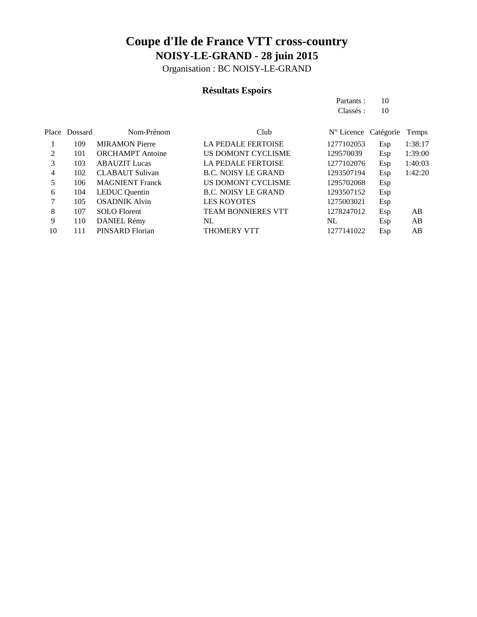Organisation : BC NOISY-LE-GRAND

### **Résultats Espoirs**

|    |               |                         |                            | Partants:            | 10  |         |
|----|---------------|-------------------------|----------------------------|----------------------|-----|---------|
|    |               |                         |                            | Classés :            | 10  |         |
|    | Place Dossard | Nom-Prénom              | Club                       | N° Licence Catégorie |     | Temps   |
|    | 109           | <b>MIRAMON</b> Pierre   | <b>LA PEDALE FERTOISE</b>  | 1277102053           | Esp | 1:38:17 |
| 2  | 101           | <b>ORCHAMPT</b> Antoine | US DOMONT CYCLISME         | 129570039            | Esp | 1:39:00 |
| 3  | 103           | <b>ABAUZIT</b> Lucas    | <b>LA PEDALE FERTOISE</b>  | 1277102076           | Esp | 1:40:03 |
| 4  | 102           | <b>CLABAUT Sulivan</b>  | <b>B.C. NOISY LE GRAND</b> | 1293507194           | Esp | 1:42:20 |
| 5  | 106           | <b>MAGNIENT</b> Franck  | US DOMONT CYCLISME         | 1295702068           | Esp |         |
| 6  | 104           | <b>LEDUC</b> Quentin    | <b>B.C. NOISY LE GRAND</b> | 1293507152           | Esp |         |
| 7  | 105           | <b>OSADNIK Alvin</b>    | <b>LES KOYOTES</b>         | 1275003021           | Esp |         |
| 8  | 107           | <b>SOLO</b> Florent     | <b>TEAM BONNIERES VTT</b>  | 1278247012           | Esp | AB      |
| 9  | 110           | DANIEL Rémy             | NL                         | NL                   | Esp | AB      |
| 10 | 111           | PINSARD Florian         | <b>THOMERY VTT</b>         | 1277141022           | Esp | AB      |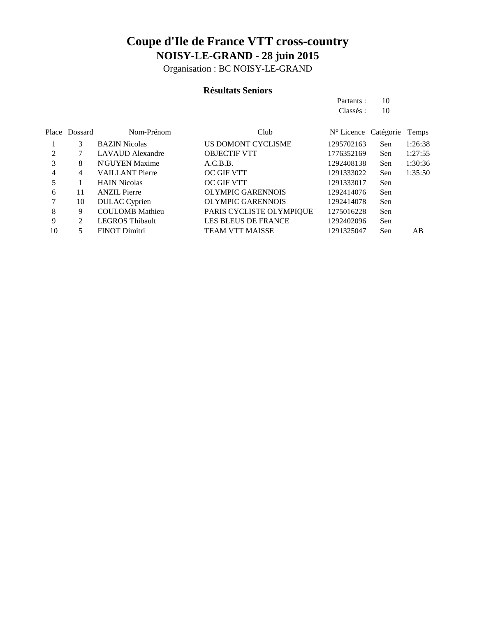Organisation : BC NOISY-LE-GRAND

### **Résultats Seniors**

Partants : 10 Classés: 10

|    | Place Dossard | Nom-Prénom              | Club                       | N° Licence Catégorie |     | Temps   |
|----|---------------|-------------------------|----------------------------|----------------------|-----|---------|
|    | 3             | <b>BAZIN</b> Nicolas    | US DOMONT CYCLISME         | 1295702163           | Sen | 1:26:38 |
| 2  |               | <b>LAVAUD</b> Alexandre | <b>OBJECTIF VTT</b>        | 1776352169           | Sen | 1:27:55 |
| 3  | 8             | N'GUYEN Maxime          | A.C.B.B.                   | 1292408138           | Sen | 1:30:36 |
| 4  | 4             | <b>VAILLANT Pierre</b>  | OC GIF VTT                 | 1291333022           | Sen | 1:35:50 |
| 5  |               | <b>HAIN Nicolas</b>     | OC GIF VTT                 | 1291333017           | Sen |         |
| 6  | 11            | <b>ANZIL Pierre</b>     | <b>OLYMPIC GARENNOIS</b>   | 1292414076           | Sen |         |
| 7  | 10            | <b>DULAC</b> Cyprien    | <b>OLYMPIC GARENNOIS</b>   | 1292414078           | Sen |         |
| 8  | 9             | <b>COULOMB</b> Mathieu  | PARIS CYCLISTE OLYMPIQUE   | 1275016228           | Sen |         |
| 9  | 2             | <b>LEGROS Thibault</b>  | <b>LES BLEUS DE FRANCE</b> | 1292402096           | Sen |         |
| 10 |               | <b>FINOT Dimitri</b>    | <b>TEAM VTT MAISSE</b>     | 1291325047           | Sen | AВ      |
|    |               |                         |                            |                      |     |         |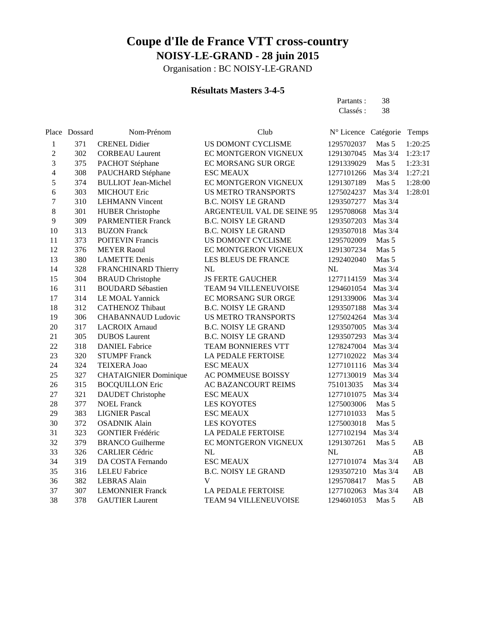Organisation : BC NOISY-LE-GRAND

### **Résultats Masters 3-4-5**

Partants : 38 Classés: 38

|                  | Place Dossard | Nom-Prénom                   | Club                       | Nº Licence Catégorie |           | Temps                  |
|------------------|---------------|------------------------------|----------------------------|----------------------|-----------|------------------------|
| $\mathbf{1}$     | 371           | <b>CRENEL Didier</b>         | US DOMONT CYCLISME         | 1295702037           | Mas 5     | 1:20:25                |
| $\boldsymbol{2}$ | 302           | <b>CORBEAU Laurent</b>       | EC MONTGERON VIGNEUX       | 1291307045           | Mas 3/4   | 1:23:17                |
| 3                | 375           | PACHOT Stéphane              | EC MORSANG SUR ORGE        | 1291339029           | Mas 5     | 1:23:31                |
| $\overline{4}$   | 308           | PAUCHARD Stéphane            | <b>ESC MEAUX</b>           | 1277101266           | Mas 3/4   | 1:27:21                |
| 5                | 374           | <b>BULLIOT</b> Jean-Michel   | EC MONTGERON VIGNEUX       | 1291307189           | Mas 5     | 1:28:00                |
| 6                | 303           | <b>MICHOUT Eric</b>          | <b>US METRO TRANSPORTS</b> | 1275024237           | Mas 3/4   | 1:28:01                |
| $\overline{7}$   | 310           | <b>LEHMANN Vincent</b>       | <b>B.C. NOISY LE GRAND</b> | 1293507277           | Mas 3/4   |                        |
| 8                | 301           | <b>HUBER Christophe</b>      | ARGENTEUIL VAL DE SEINE 95 | 1295708068           | Mas 3/4   |                        |
| 9                | 309           | <b>PARMENTIER Franck</b>     | <b>B.C. NOISY LE GRAND</b> | 1293507203           | Mas $3/4$ |                        |
| 10               | 313           | <b>BUZON Franck</b>          | <b>B.C. NOISY LE GRAND</b> | 1293507018           | Mas 3/4   |                        |
| 11               | 373           | <b>POITEVIN Francis</b>      | US DOMONT CYCLISME         | 1295702009           | Mas 5     |                        |
| 12               | 376           | <b>MEYER Raoul</b>           | EC MONTGERON VIGNEUX       | 1291307234           | Mas 5     |                        |
| 13               | 380           | <b>LAMETTE Denis</b>         | LES BLEUS DE FRANCE        | 1292402040           | Mas 5     |                        |
| 14               | 328           | FRANCHINARD Thierry          | NL                         | $\rm NL$             | Mas 3/4   |                        |
| 15               | 304           | <b>BRAUD</b> Christophe      | <b>JS FERTE GAUCHER</b>    | 1277114159           | Mas 3/4   |                        |
| 16               | 311           | <b>BOUDARD Sébastien</b>     | TEAM 94 VILLENEUVOISE      | 1294601054           | Mas 3/4   |                        |
| 17               | 314           | LE MOAL Yannick              | EC MORSANG SUR ORGE        | 1291339006           | Mas 3/4   |                        |
| 18               | 312           | <b>CATHENOZ Thibaut</b>      | <b>B.C. NOISY LE GRAND</b> | 1293507188           | Mas 3/4   |                        |
| 19               | 306           | <b>CHABANNAUD Ludovic</b>    | <b>US METRO TRANSPORTS</b> | 1275024264           | Mas 3/4   |                        |
| 20               | 317           | <b>LACROIX Arnaud</b>        | <b>B.C. NOISY LE GRAND</b> | 1293507005           | Mas 3/4   |                        |
| 21               | 305           | <b>DUBOS</b> Laurent         | <b>B.C. NOISY LE GRAND</b> | 1293507293           | Mas 3/4   |                        |
| 22               | 318           | <b>DANIEL Fabrice</b>        | TEAM BONNIERES VTT         | 1278247004           | Mas 3/4   |                        |
| 23               | 320           | <b>STUMPF Franck</b>         | LA PEDALE FERTOISE         | 1277102022           | Mas 3/4   |                        |
| 24               | 324           | TEIXERA Joao                 | <b>ESC MEAUX</b>           | 1277101116           | Mas 3/4   |                        |
| 25               | 327           | <b>CHATAIGNIER Dominique</b> | AC POMMEUSE BOISSY         | 1277130019           | Mas 3/4   |                        |
| 26               | 315           | <b>BOCQUILLON Eric</b>       | AC BAZANCOURT REIMS        | 751013035            | Mas 3/4   |                        |
| 27               | 321           | <b>DAUDET</b> Christophe     | <b>ESC MEAUX</b>           | 1277101075           | Mas 3/4   |                        |
| 28               | 377           | <b>NOEL Franck</b>           | <b>LES KOYOTES</b>         | 1275003006           | Mas 5     |                        |
| 29               | 383           | <b>LIGNIER Pascal</b>        | <b>ESC MEAUX</b>           | 1277101033           | Mas 5     |                        |
| 30               | 372           | <b>OSADNIK Alain</b>         | <b>LES KOYOTES</b>         | 1275003018           | Mas 5     |                        |
| 31               | 323           | <b>GONTIER Frédéric</b>      | LA PEDALE FERTOISE         | 1277102194           | Mas 3/4   |                        |
| 32               | 379           | <b>BRANCO Guilherme</b>      | EC MONTGERON VIGNEUX       | 1291307261           | Mas 5     | AB                     |
| 33               | 326           | <b>CARLIER Cédric</b>        | NL                         | NL                   |           | AB                     |
| 34               | 319           | DA COSTA Fernando            | <b>ESC MEAUX</b>           | 1277101074           | Mas 3/4   | $\mathbf{A}\mathbf{B}$ |
| 35               | 316           | <b>LELEU Fabrice</b>         | <b>B.C. NOISY LE GRAND</b> | 1293507210           | Mas 3/4   | $\mathbf{A}\mathbf{B}$ |
| 36               | 382           | <b>LEBRAS</b> Alain          | V                          | 1295708417           | Mas 5     | $\mathbf{A}\mathbf{B}$ |
| 37               | 307           | <b>LEMONNIER Franck</b>      | LA PEDALE FERTOISE         | 1277102063           | Mas 3/4   | $\mathbf{A}\mathbf{B}$ |
| 38               | 378           | <b>GAUTIER Laurent</b>       | TEAM 94 VILLENEUVOISE      | 1294601053           | Mas 5     | AB                     |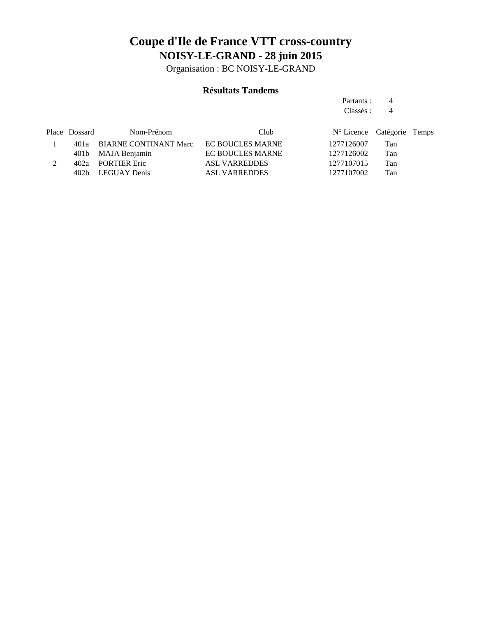Organisation : BC NOISY-LE-GRAND

### **Résultats Tandems**

Partants : 4 Classés : 4

| Place Dossard | Nom-Prénom                 | Club                    | N° Licence Catégorie Temps |     |  |
|---------------|----------------------------|-------------------------|----------------------------|-----|--|
|               | 401a BIARNE CONTINANT Marc | <b>EC BOUCLES MARNE</b> | 1277126007                 | Tan |  |
|               | 401b MAJA Benjamin         | <b>EC BOUCLES MARNE</b> | 1277126002                 | Tan |  |
|               | 402a PORTIER Eric          | <b>ASL VARREDDES</b>    | 1277107015                 | Tan |  |
|               | 402b LEGUAY Denis          | <b>ASL VARREDDES</b>    | 1277107002                 | Tan |  |
|               |                            |                         |                            |     |  |